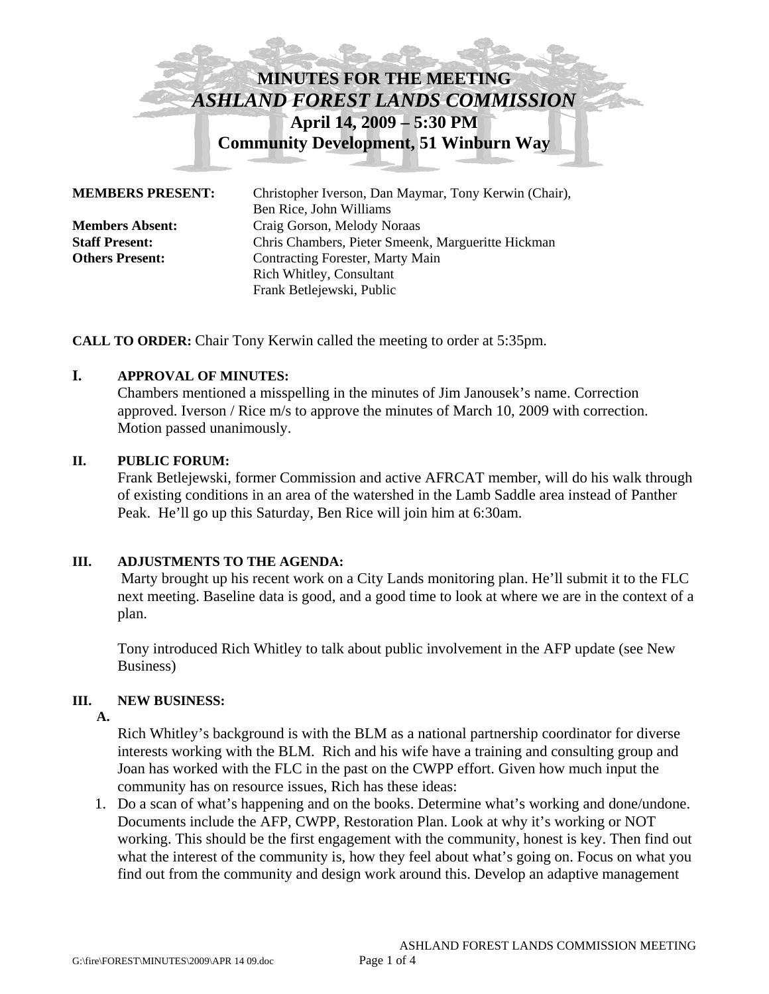# **MINUTES FOR THE MEETING**  *ASHLAND FOREST LANDS COMMISSION*  **April 14, 2009 – 5:30 PM Community Development, 51 Winburn Way**

| <b>MEMBERS PRESENT:</b> | Christopher Iverson, Dan Maymar, Tony Kerwin (Chair),<br>Ben Rice, John Williams |
|-------------------------|----------------------------------------------------------------------------------|
| <b>Members Absent:</b>  | Craig Gorson, Melody Noraas                                                      |
| <b>Staff Present:</b>   | Chris Chambers, Pieter Smeenk, Margueritte Hickman                               |
| <b>Others Present:</b>  | Contracting Forester, Marty Main                                                 |
|                         | <b>Rich Whitley, Consultant</b>                                                  |
|                         | Frank Betlejewski, Public                                                        |

**CALL TO ORDER:** Chair Tony Kerwin called the meeting to order at 5:35pm.

# **I. APPROVAL OF MINUTES:**

Chambers mentioned a misspelling in the minutes of Jim Janousek's name. Correction approved. Iverson / Rice m/s to approve the minutes of March 10, 2009 with correction. Motion passed unanimously.

#### **II. PUBLIC FORUM:**

Frank Betlejewski, former Commission and active AFRCAT member, will do his walk through of existing conditions in an area of the watershed in the Lamb Saddle area instead of Panther Peak. He'll go up this Saturday, Ben Rice will join him at 6:30am.

### **III. ADJUSTMENTS TO THE AGENDA:**

Marty brought up his recent work on a City Lands monitoring plan. He'll submit it to the FLC next meeting. Baseline data is good, and a good time to look at where we are in the context of a plan.

Tony introduced Rich Whitley to talk about public involvement in the AFP update (see New Business)

### **III. NEW BUSINESS:**

 **A.** 

Rich Whitley's background is with the BLM as a national partnership coordinator for diverse interests working with the BLM. Rich and his wife have a training and consulting group and Joan has worked with the FLC in the past on the CWPP effort. Given how much input the community has on resource issues, Rich has these ideas:

1. Do a scan of what's happening and on the books. Determine what's working and done/undone. Documents include the AFP, CWPP, Restoration Plan. Look at why it's working or NOT working. This should be the first engagement with the community, honest is key. Then find out what the interest of the community is, how they feel about what's going on. Focus on what you find out from the community and design work around this. Develop an adaptive management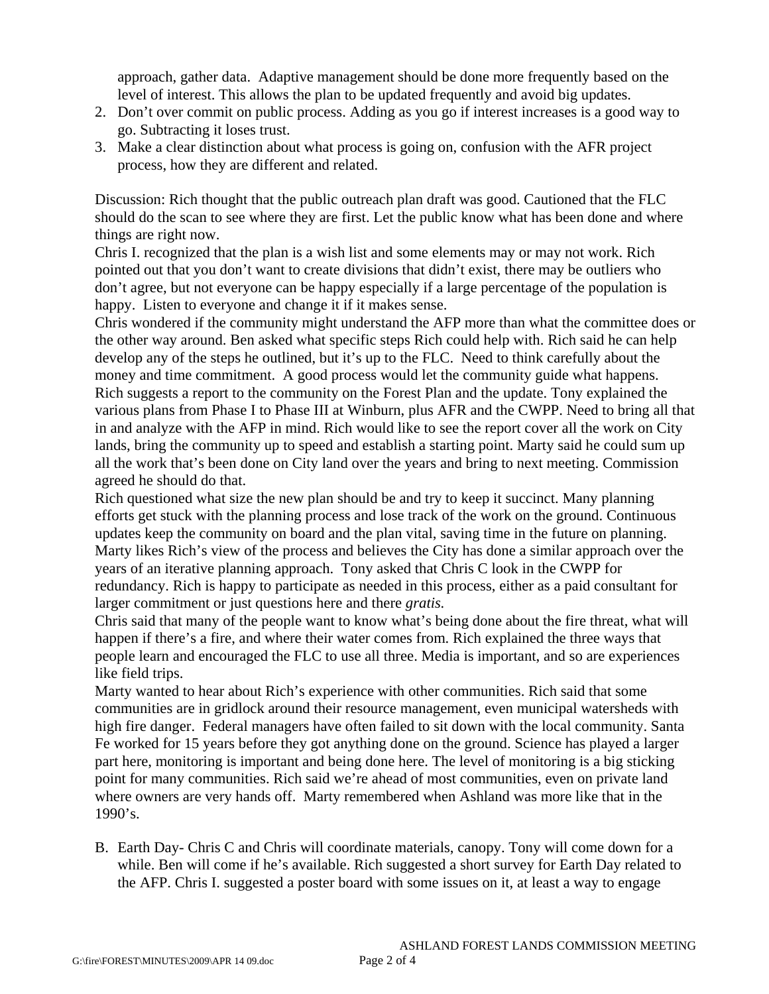approach, gather data. Adaptive management should be done more frequently based on the level of interest. This allows the plan to be updated frequently and avoid big updates.

- 2. Don't over commit on public process. Adding as you go if interest increases is a good way to go. Subtracting it loses trust.
- 3. Make a clear distinction about what process is going on, confusion with the AFR project process, how they are different and related.

Discussion: Rich thought that the public outreach plan draft was good. Cautioned that the FLC should do the scan to see where they are first. Let the public know what has been done and where things are right now.

Chris I. recognized that the plan is a wish list and some elements may or may not work. Rich pointed out that you don't want to create divisions that didn't exist, there may be outliers who don't agree, but not everyone can be happy especially if a large percentage of the population is happy. Listen to everyone and change it if it makes sense.

Chris wondered if the community might understand the AFP more than what the committee does or the other way around. Ben asked what specific steps Rich could help with. Rich said he can help develop any of the steps he outlined, but it's up to the FLC. Need to think carefully about the money and time commitment. A good process would let the community guide what happens. Rich suggests a report to the community on the Forest Plan and the update. Tony explained the various plans from Phase I to Phase III at Winburn, plus AFR and the CWPP. Need to bring all that in and analyze with the AFP in mind. Rich would like to see the report cover all the work on City lands, bring the community up to speed and establish a starting point. Marty said he could sum up all the work that's been done on City land over the years and bring to next meeting. Commission agreed he should do that.

Rich questioned what size the new plan should be and try to keep it succinct. Many planning efforts get stuck with the planning process and lose track of the work on the ground. Continuous updates keep the community on board and the plan vital, saving time in the future on planning. Marty likes Rich's view of the process and believes the City has done a similar approach over the years of an iterative planning approach. Tony asked that Chris C look in the CWPP for redundancy. Rich is happy to participate as needed in this process, either as a paid consultant for larger commitment or just questions here and there *gratis.*

Chris said that many of the people want to know what's being done about the fire threat, what will happen if there's a fire, and where their water comes from. Rich explained the three ways that people learn and encouraged the FLC to use all three. Media is important, and so are experiences like field trips.

Marty wanted to hear about Rich's experience with other communities. Rich said that some communities are in gridlock around their resource management, even municipal watersheds with high fire danger. Federal managers have often failed to sit down with the local community. Santa Fe worked for 15 years before they got anything done on the ground. Science has played a larger part here, monitoring is important and being done here. The level of monitoring is a big sticking point for many communities. Rich said we're ahead of most communities, even on private land where owners are very hands off. Marty remembered when Ashland was more like that in the 1990's.

B. Earth Day- Chris C and Chris will coordinate materials, canopy. Tony will come down for a while. Ben will come if he's available. Rich suggested a short survey for Earth Day related to the AFP. Chris I. suggested a poster board with some issues on it, at least a way to engage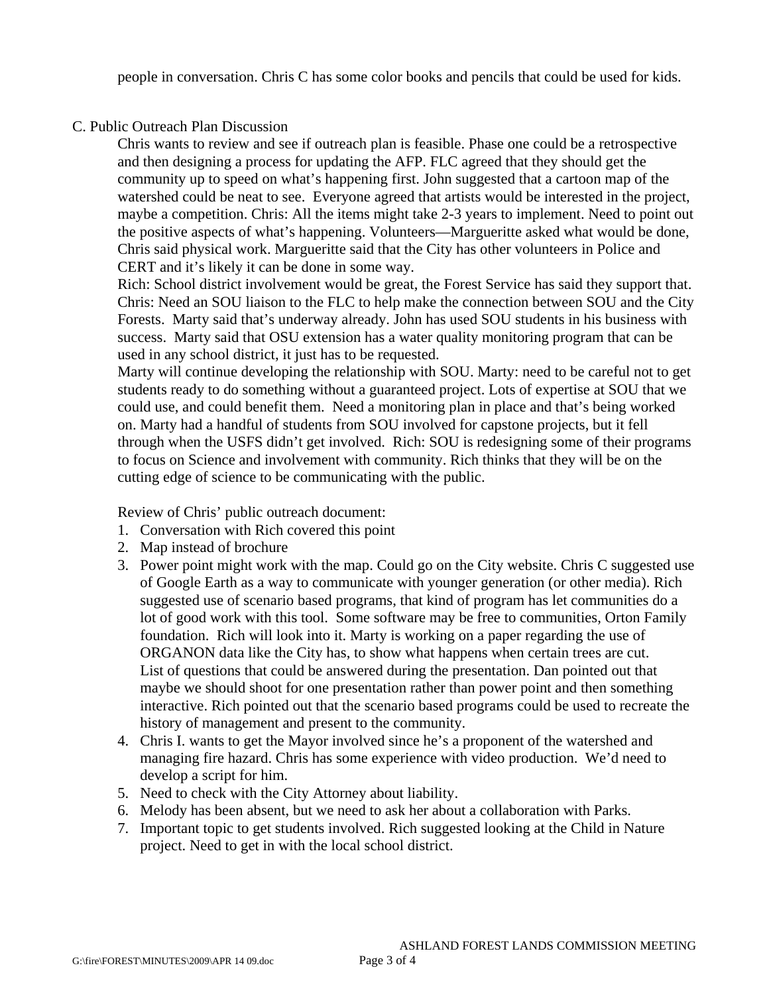people in conversation. Chris C has some color books and pencils that could be used for kids.

# C. Public Outreach Plan Discussion

Chris wants to review and see if outreach plan is feasible. Phase one could be a retrospective and then designing a process for updating the AFP. FLC agreed that they should get the community up to speed on what's happening first. John suggested that a cartoon map of the watershed could be neat to see. Everyone agreed that artists would be interested in the project, maybe a competition. Chris: All the items might take 2-3 years to implement. Need to point out the positive aspects of what's happening. Volunteers—Margueritte asked what would be done, Chris said physical work. Margueritte said that the City has other volunteers in Police and CERT and it's likely it can be done in some way.

Rich: School district involvement would be great, the Forest Service has said they support that. Chris: Need an SOU liaison to the FLC to help make the connection between SOU and the City Forests. Marty said that's underway already. John has used SOU students in his business with success. Marty said that OSU extension has a water quality monitoring program that can be used in any school district, it just has to be requested.

Marty will continue developing the relationship with SOU. Marty: need to be careful not to get students ready to do something without a guaranteed project. Lots of expertise at SOU that we could use, and could benefit them. Need a monitoring plan in place and that's being worked on. Marty had a handful of students from SOU involved for capstone projects, but it fell through when the USFS didn't get involved. Rich: SOU is redesigning some of their programs to focus on Science and involvement with community. Rich thinks that they will be on the cutting edge of science to be communicating with the public.

Review of Chris' public outreach document:

- 1. Conversation with Rich covered this point
- 2. Map instead of brochure
- 3. Power point might work with the map. Could go on the City website. Chris C suggested use of Google Earth as a way to communicate with younger generation (or other media). Rich suggested use of scenario based programs, that kind of program has let communities do a lot of good work with this tool. Some software may be free to communities, Orton Family foundation. Rich will look into it. Marty is working on a paper regarding the use of ORGANON data like the City has, to show what happens when certain trees are cut. List of questions that could be answered during the presentation. Dan pointed out that maybe we should shoot for one presentation rather than power point and then something interactive. Rich pointed out that the scenario based programs could be used to recreate the history of management and present to the community.
- 4. Chris I. wants to get the Mayor involved since he's a proponent of the watershed and managing fire hazard. Chris has some experience with video production. We'd need to develop a script for him.
- 5. Need to check with the City Attorney about liability.
- 6. Melody has been absent, but we need to ask her about a collaboration with Parks.
- 7. Important topic to get students involved. Rich suggested looking at the Child in Nature project. Need to get in with the local school district.